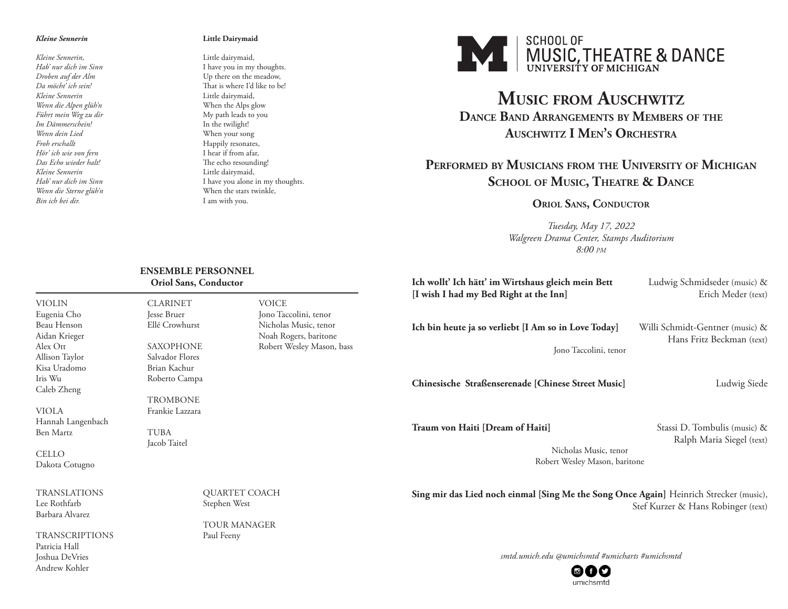#### *Kleine Sennerin*

*Kleine Sennerin, Hab' nur dich im Sinn Droben auf der Alm Da möcht' ich sein! Kleine Sennerin Wenn die Alpen glüh'n Führt mein Weg zu dir Im Dämmerschein! Wenn dein Lied Froh erschallt Hör' ich wie von fern Das Echo wieder halt! Kleine Sennerin Hab' nur dich im Sinn Wenn die Sterne glüh'n Bin ich bei dir.*

VIOLIN Eugenia Cho Beau Henson Aidan Krieger Alex Ott Allison Taylor Kisa Uradomo Iris Wu Caleb Zheng

VIOLA

Ben Martz

CELLO Dakota Cotugno

Hannah Langenbach

TRANSLATIONS Lee Rothfarb Barbara Alvarez

#### **Little Dairymaid**

Little dairymaid, I have you in my thoughts. Up there on the meadow, That is where I'd like to be! Little dairymaid, When the Alps glow My path leads to you In the twilight! When your song Happily resonates, I hear if from afar, The echo resounding! Little dairymaid, I have you alone in my thoughts. When the stars twinkle, I am with you.



# **Music from Auschwitz Dance Band Arrangements by Members of the Auschwitz I Men's Orchestra**

## **Performed by Musicians from the University of Michigan School of Music, Theatre & Dance**

### **Oriol Sans, Conductor**

*Tuesday, May 17, 2022 Walgreen Drama Center, Stamps Auditorium 8:00 pm*

| <b>ENSEMBLE PERSONNEL</b><br>Oriol Sans, Conductor |                           | Ich wollt' Ich hätt' im Wirtshaus gleich mein Bett                                                                                                                                                                                                                     | Ludwig Schmidseder (music) &    |
|----------------------------------------------------|---------------------------|------------------------------------------------------------------------------------------------------------------------------------------------------------------------------------------------------------------------------------------------------------------------|---------------------------------|
| <b>CLARINET</b>                                    | <b>VOICE</b>              | [I wish I had my Bed Right at the Inn]                                                                                                                                                                                                                                 | Erich Meder (text)              |
| Jesse Bruer                                        | Jono Taccolini, tenor     |                                                                                                                                                                                                                                                                        |                                 |
| Ellé Crowhurst                                     | Nicholas Music, tenor     | Ich bin heute ja so verliebt [I Am so in Love Today]                                                                                                                                                                                                                   | Willi Schmidt-Gentner (music) & |
|                                                    | Noah Rogers, baritone     |                                                                                                                                                                                                                                                                        | Hans Fritz Beckman (text)       |
| <b>SAXOPHONE</b>                                   | Robert Wesley Mason, bass | Jono Taccolini, tenor                                                                                                                                                                                                                                                  |                                 |
| Salvador Flores                                    |                           |                                                                                                                                                                                                                                                                        |                                 |
| Brian Kachur                                       |                           |                                                                                                                                                                                                                                                                        |                                 |
| Roberto Campa                                      |                           | Chinesische Straßenserenade [Chinese Street Music]                                                                                                                                                                                                                     | Ludwig Siede                    |
| <b>TROMBONE</b>                                    |                           |                                                                                                                                                                                                                                                                        |                                 |
| Frankie Lazzara                                    |                           |                                                                                                                                                                                                                                                                        |                                 |
| <b>TUBA</b>                                        |                           | Traum von Haiti [Dream of Haiti]                                                                                                                                                                                                                                       | Stassi D. Tombulis (music) &    |
| Jacob Taitel                                       |                           |                                                                                                                                                                                                                                                                        | Ralph Maria Siegel (text)       |
|                                                    |                           | Nicholas Music, tenor                                                                                                                                                                                                                                                  |                                 |
|                                                    |                           | Robert Wesley Mason, baritone                                                                                                                                                                                                                                          |                                 |
|                                                    |                           |                                                                                                                                                                                                                                                                        |                                 |
| OUARTET COACH                                      |                           | $\mathbb{C}$ . The set of the set of $\mathbb{C}$ . The set of $\mathbb{C}$ is a set of $\mathbb{C}$ is the set of $\mathbb{C}$ is the set of $\mathbb{C}$ is the set of $\mathbb{C}$ is the set of $\mathbb{C}$ is the set of $\mathbb{C}$ is the set of $\mathbb{C}$ |                                 |

**Sing mir das Lied noch einmal [Sing Me the Song Once Again]** Heinrich Strecker (music), Stef Kurzer & Hans Robinger (text)

TRANSCRIPTIONS Patricia Hall Joshua DeVries Andrew Kohler

> QUARTET COACH Stephen West

TOUR MANAGER Paul Feeny

*smtd.umich.edu @umichsmtd #umicharts #umichsmtd*